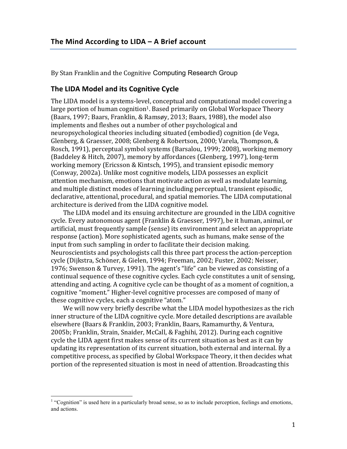By Stan Franklin and the Cognitive Computing Research Group

## **The LIDA Model and its Cognitive Cycle**

The LIDA model is a systems-level, conceptual and computational model covering a large portion of human cognition<sup>1</sup>. Based primarily on Global Workspace Theory (Baars, 1997; Baars, Franklin, & Ramsøy, 2013; Baars, 1988), the model also implements and fleshes out a number of other psychological and neuropsychological theories including situated (embodied) cognition (de Vega, Glenberg, & Graesser, 2008; Glenberg & Robertson, 2000; Varela, Thompson, & Rosch, 1991), perceptual symbol systems (Barsalou, 1999; 2008), working memory (Baddeley & Hitch, 2007), memory by affordances (Glenberg, 1997), long-term working memory (Ericsson & Kintsch, 1995), and transient episodic memory (Conway, 2002a). Unlike most cognitive models, LIDA possesses an explicit attention mechanism, emotions that motivate action as well as modulate learning, and multiple distinct modes of learning including perceptual, transient episodic, declarative, attentional, procedural, and spatial memories. The LIDA computational architecture is derived from the LIDA cognitive model.

The LIDA model and its ensuing architecture are grounded in the LIDA cognitive cycle. Every autonomous agent (Franklin & Graesser, 1997), be it human, animal, or artificial, must frequently sample (sense) its environment and select an appropriate response (action). More sophisticated agents, such as humans, make sense of the input from such sampling in order to facilitate their decision making. Neuroscientists and psychologists call this three part process the action-perception cycle (Dijkstra, Schöner, & Gielen, 1994; Freeman, 2002; Fuster, 2002; Neisser, 1976; Swenson & Turvey, 1991). The agent's "life" can be viewed as consisting of a continual sequence of these cognitive cycles. Each cycle constitutes a unit of sensing, attending and acting. A cognitive cycle can be thought of as a moment of cognition, a cognitive "moment." Higher-level cognitive processes are composed of many of these cognitive cycles, each a cognitive "atom."

We will now very briefly describe what the LIDA model hypothesizes as the rich inner structure of the LIDA cognitive cycle. More detailed descriptions are available elsewhere (Baars & Franklin, 2003; Franklin, Baars, Ramamurthy, & Ventura, 2005b; Franklin, Strain, Snaider, McCall, & Faghihi, 2012). During each cognitive cycle the LIDA agent first makes sense of its current situation as best as it can by updating its representation of its current situation, both external and internal. By a competitive process, as specified by Global Workspace Theory, it then decides what portion of the represented situation is most in need of attention. Broadcasting this

<sup>&</sup>lt;sup>1</sup> "Cognition" is used here in a particularly broad sense, so as to include perception, feelings and emotions, and actions.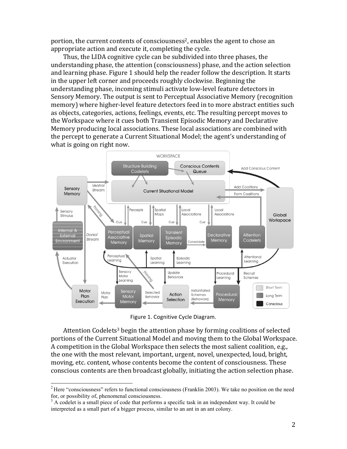portion, the current contents of consciousness<sup>2</sup>, enables the agent to chose an appropriate action and execute it, completing the cycle.

Thus, the LIDA cognitive cycle can be subdivided into three phases, the understanding phase, the attention (consciousness) phase, and the action selection and learning phase. Figure 1 should help the reader follow the description. It starts in the upper left corner and proceeds roughly clockwise. Beginning the understanding phase, incoming stimuli activate low-level feature detectors in Sensory Memory. The output is sent to Perceptual Associative Memory (recognition memory) where higher-level feature detectors feed in to more abstract entities such as objects, categories, actions, feelings, events, etc. The resulting percept moves to the Workspace where it cues both Transient Episodic Memory and Declarative Memory producing local associations. These local associations are combined with the percept to generate a Current Situational Model; the agent's understanding of what is going on right now.



Figure 1. Cognitive Cycle Diagram.

Attention Codelets<sup>3</sup> begin the attention phase by forming coalitions of selected portions of the Current Situational Model and moving them to the Global Workspace. A competition in the Global Workspace then selects the most salient coalition, e.g., the one with the most relevant, important, urgent, novel, unexpected, loud, bright, moving, etc. content, whose contents become the content of consciousness. These conscious contents are then broadcast globally, initiating the action selection phase.

 $2$  Here "consciousness" refers to functional consciousness (Franklin 2003). We take no position on the need for, or possibility of, phenomenal consciousness.<br><sup>3</sup> A codelet is a small piece of code that performs a specific task in an independent way. It could be

interpreted as a small part of a bigger process, similar to an ant in an ant colony.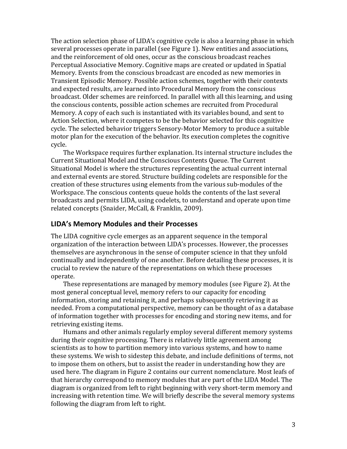The action selection phase of LIDA's cognitive cycle is also a learning phase in which several processes operate in parallel (see Figure 1). New entities and associations, and the reinforcement of old ones, occur as the conscious broadcast reaches Perceptual Associative Memory. Cognitive maps are created or updated in Spatial Memory. Events from the conscious broadcast are encoded as new memories in Transient Episodic Memory. Possible action schemes, together with their contexts and expected results, are learned into Procedural Memory from the conscious broadcast. Older schemes are reinforced. In parallel with all this learning, and using the conscious contents, possible action schemes are recruited from Procedural Memory. A copy of each such is instantiated with its variables bound, and sent to Action Selection, where it competes to be the behavior selected for this cognitive cycle. The selected behavior triggers Sensory-Motor Memory to produce a suitable motor plan for the execution of the behavior. Its execution completes the cognitive cycle.

The Workspace requires further explanation. Its internal structure includes the Current Situational Model and the Conscious Contents Queue. The Current Situational Model is where the structures representing the actual current internal and external events are stored. Structure building codelets are responsible for the creation of these structures using elements from the various sub-modules of the Workspace. The conscious contents queue holds the contents of the last several broadcasts and permits LIDA, using codelets, to understand and operate upon time related concepts (Snaider, McCall, & Franklin, 2009).

## **LIDA's Memory Modules and their Processes**

The LIDA cognitive cycle emerges as an apparent sequence in the temporal organization of the interaction between LIDA's processes. However, the processes themselves are asynchronous in the sense of computer science in that they unfold continually and independently of one another. Before detailing these processes, it is crucial to review the nature of the representations on which these processes operate. 

These representations are managed by memory modules (see Figure 2). At the most general conceptual level, memory refers to our capacity for encoding information, storing and retaining it, and perhaps subsequently retrieving it as needed. From a computational perspective, memory can be thought of as a database of information together with processes for encoding and storing new items, and for retrieving existing items.

Humans and other animals regularly employ several different memory systems during their cognitive processing. There is relatively little agreement among scientists as to how to partition memory into various systems, and how to name these systems. We wish to sidestep this debate, and include definitions of terms, not to impose them on others, but to assist the reader in understanding how they are used here. The diagram in Figure 2 contains our current nomenclature. Most leafs of that hierarchy correspond to memory modules that are part of the LIDA Model. The diagram is organized from left to right beginning with very short-term memory and increasing with retention time. We will briefly describe the several memory systems following the diagram from left to right.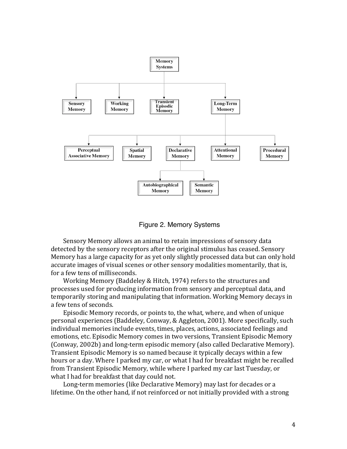



Sensory Memory allows an animal to retain impressions of sensory data detected by the sensory receptors after the original stimulus has ceased. Sensory Memory has a large capacity for as yet only slightly processed data but can only hold accurate images of visual scenes or other sensory modalities momentarily, that is, for a few tens of milliseconds.

Working Memory (Baddeley & Hitch, 1974) refers to the structures and processes used for producing information from sensory and perceptual data, and temporarily storing and manipulating that information. Working Memory decays in a few tens of seconds.

Episodic Memory records, or points to, the what, where, and when of unique personal experiences (Baddeley, Conway, & Aggleton, 2001). More specifically, such individual memories include events, times, places, actions, associated feelings and emotions, etc. Episodic Memory comes in two versions, Transient Episodic Memory (Conway, 2002b) and long-term episodic memory (also called Declarative Memory). Transient Episodic Memory is so named because it typically decays within a few hours or a day. Where I parked my car, or what I had for breakfast might be recalled from Transient Episodic Memory, while where I parked my car last Tuesday, or what I had for breakfast that day could not.

Long-term memories (like Declarative Memory) may last for decades or a lifetime. On the other hand, if not reinforced or not initially provided with a strong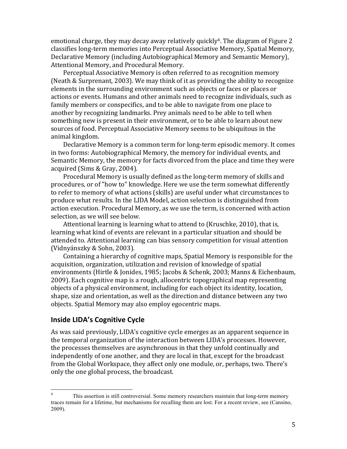emotional charge, they may decay away relatively quickly<sup>4</sup>. The diagram of Figure 2 classifies long-term memories into Perceptual Associative Memory, Spatial Memory, Declarative Memory (including Autobiographical Memory and Semantic Memory), Attentional Memory, and Procedural Memory.

Perceptual Associative Memory is often referred to as recognition memory (Neath & Surprenant, 2003). We may think of it as providing the ability to recognize elements in the surrounding environment such as objects or faces or places or actions or events. Humans and other animals need to recognize individuals, such as family members or conspecifics, and to be able to navigate from one place to another by recognizing landmarks. Prey animals need to be able to tell when something new is present in their environment, or to be able to learn about new sources of food. Perceptual Associative Memory seems to be ubiquitous in the animal kingdom.

Declarative Memory is a common term for long-term episodic memory. It comes in two forms: Autobiographical Memory, the memory for individual events, and Semantic Memory, the memory for facts divorced from the place and time they were acquired (Sims & Gray, 2004).

Procedural Memory is usually defined as the long-term memory of skills and procedures, or of "how to" knowledge. Here we use the term somewhat differently to refer to memory of what actions (skills) are useful under what circumstances to produce what results. In the LIDA Model, action selection is distinguished from action execution. Procedural Memory, as we use the term, is concerned with action selection, as we will see below.

Attentional learning is learning what to attend to (Kruschke, 2010), that is, learning what kind of events are relevant in a particular situation and should be attended to. Attentional learning can bias sensory competition for visual attention (Vidnyánszky & Sohn, 2003).

Containing a hierarchy of cognitive maps, Spatial Memory is responsible for the acquisition, organization, utilization and revision of knowledge of spatial environments (Hirtle & Jonides, 1985; Jacobs & Schenk, 2003; Manns & Eichenbaum, 2009). Each cognitive map is a rough, allocentric topographical map representing objects of a physical environment, including for each object its identity, location, shape, size and orientation, as well as the direction and distance between any two objects. Spatial Memory may also employ egocentric maps.

## **Inside LIDA's Cognitive Cycle**

As was said previously, LIDA's cognitive cycle emerges as an apparent sequence in the temporal organization of the interaction between LIDA's processes. However, the processes themselves are asynchronous in that they unfold continually and independently of one another, and they are local in that, except for the broadcast from the Global Workspace, they affect only one module, or, perhaps, two. There's only the one global process, the broadcast.

<sup>&</sup>lt;sup>4</sup> This assertion is still controversial. Some memory researchers maintain that long-term memory traces remain for a lifetime, but mechanisms for recalling them are lost. For a recent review, see (Cansino, 2009).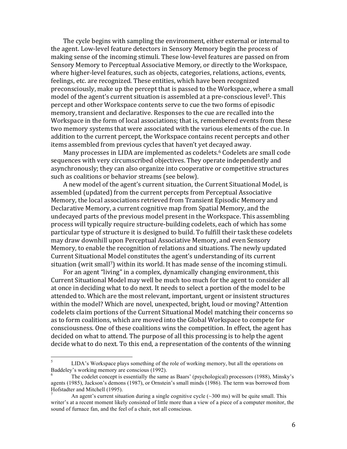The cycle begins with sampling the environment, either external or internal to the agent. Low-level feature detectors in Sensory Memory begin the process of making sense of the incoming stimuli. These low-level features are passed on from Sensory Memory to Perceptual Associative Memory, or directly to the Workspace, where higher-level features, such as objects, categories, relations, actions, events, feelings, etc. are recognized. These entities, which have been recognized preconsciously, make up the percept that is passed to the Workspace, where a small model of the agent's current situation is assembled at a pre-conscious level<sup>5</sup>. This percept and other Workspace contents serve to cue the two forms of episodic memory, transient and declarative. Responses to the cue are recalled into the Workspace in the form of local associations; that is, remembered events from these two memory systems that were associated with the various elements of the cue. In addition to the current percept, the Workspace contains recent percepts and other items assembled from previous cycles that haven't yet decayed away.

Many processes in LIDA are implemented as codelets.<sup>6</sup> Codelets are small code sequences with very circumscribed objectives. They operate independently and asynchronously; they can also organize into cooperative or competitive structures such as coalitions or behavior streams (see below).

A new model of the agent's current situation, the Current Situational Model, is assembled (updated) from the current percepts from Perceptual Associative Memory, the local associations retrieved from Transient Episodic Memory and Declarative Memory, a current cognitive map from Spatial Memory, and the undecayed parts of the previous model present in the Workspace. This assembling process will typically require structure-building codelets, each of which has some particular type of structure it is designed to build. To fulfill their task these codelets may draw downhill upon Perceptual Associative Memory, and even Sensory Memory, to enable the recognition of relations and situations. The newly updated Current Situational Model constitutes the agent's understanding of its current situation (writ small<sup>7</sup>) within its world. It has made sense of the incoming stimuli.

For an agent "living" in a complex, dynamically changing environment, this Current Situational Model may well be much too much for the agent to consider all at once in deciding what to do next. It needs to select a portion of the model to be attended to. Which are the most relevant, important, urgent or insistent structures within the model? Which are novel, unexpected, bright, loud or moving? Attention codelets claim portions of the Current Situational Model matching their concerns so as to form coalitions, which are moved into the Global Workspace to compete for consciousness. One of these coalitions wins the competition. In effect, the agent has decided on what to attend. The purpose of all this processing is to help the agent decide what to do next. To this end, a representation of the contents of the winning

<sup>&</sup>lt;sup>5</sup> LIDA's Workspace plays something of the role of working memory, but all the operations on Baddeley's working memory are conscious (1992).<br><sup>6</sup> The codelet concept is essentially the same as Baars' (psychological) processors (1988), Minsky's

agents (1985), Jackson's demons (1987), or Ornstein's small minds (1986). The term was borrowed from Hofstadter and Mitchell (1995).<br><sup>7</sup> An agent's current situation during a single cognitive cycle (~300 ms) will be quite small. This

writer's at a recent moment likely consisted of little more than a view of a piece of a computer monitor, the sound of furnace fan, and the feel of a chair, not all conscious.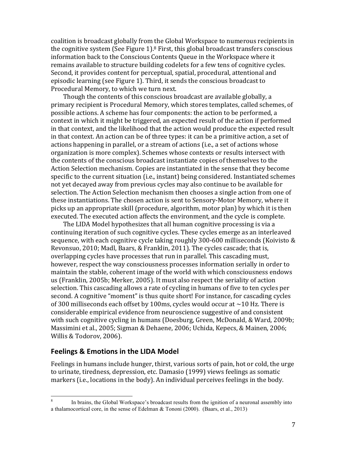coalition is broadcast globally from the Global Workspace to numerous recipients in the cognitive system (See Figure 1). $8$  First, this global broadcast transfers conscious information back to the Conscious Contents Queue in the Workspace where it remains available to structure building codelets for a few tens of cognitive cycles. Second, it provides content for perceptual, spatial, procedural, attentional and episodic learning (see Figure 1). Third, it sends the conscious broadcast to Procedural Memory, to which we turn next.

Though the contents of this conscious broadcast are available globally, a primary recipient is Procedural Memory, which stores templates, called schemes, of possible actions. A scheme has four components: the action to be performed, a context in which it might be triggered, an expected result of the action if performed in that context, and the likelihood that the action would produce the expected result in that context. An action can be of three types: it can be a primitive action, a set of actions happening in parallel, or a stream of actions (i.e., a set of actions whose organization is more complex). Schemes whose contexts or results intersect with the contents of the conscious broadcast instantiate copies of themselves to the Action Selection mechanism. Copies are instantiated in the sense that they become specific to the current situation (i.e., instant) being considered. Instantiated schemes not yet decayed away from previous cycles may also continue to be available for selection. The Action Selection mechanism then chooses a single action from one of these instantiations. The chosen action is sent to Sensory-Motor Memory, where it picks up an appropriate skill (procedure, algorithm, motor plan) by which it is then executed. The executed action affects the environment, and the cycle is complete.

The LIDA Model hypothesizes that all human cognitive processing is via a continuing iteration of such cognitive cycles. These cycles emerge as an interleaved sequence, with each cognitive cycle taking roughly  $300-600$  milliseconds (Koivisto & Revonsuo, 2010; Madl, Baars, & Franklin, 2011). The cycles cascade; that is, overlapping cycles have processes that run in parallel. This cascading must, however, respect the way consciousness processes information serially in order to maintain the stable, coherent image of the world with which consciousness endows us (Franklin, 2005b; Merker, 2005). It must also respect the seriality of action selection. This cascading allows a rate of cycling in humans of five to ten cycles per second. A cognitive "moment" is thus quite short! For instance, for cascading cycles of 300 milliseconds each offset by 100ms, cycles would occur at  $\sim$ 10 Hz. There is considerable empirical evidence from neuroscience suggestive of and consistent with such cognitive cycling in humans (Doesburg, Green, McDonald, & Ward, 2009b; Massimini et al., 2005; Sigman & Dehaene, 2006; Uchida, Kepecs, & Mainen, 2006; Willis & Todorov, 2006).

## **Feelings & Emotions in the LIDA Model**

Feelings in humans include hunger, thirst, various sorts of pain, hot or cold, the urge to urinate, tiredness, depression, etc. Damasio (1999) views feelings as somatic markers (i.e., locations in the body). An individual perceives feelings in the body.

<sup>&</sup>lt;sup>8</sup> In brains, the Global Workspace's broadcast results from the ignition of a neuronal assembly into a thalamocortical core, in the sense of Edelman & Tononi (2000). (Baars, et al., 2013)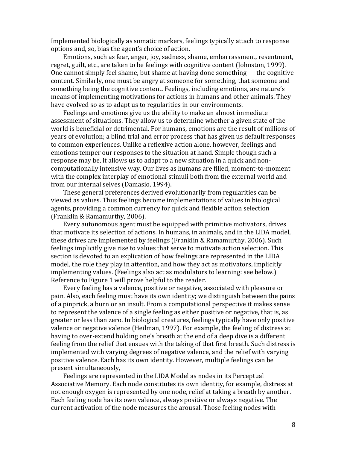Implemented biologically as somatic markers, feelings typically attach to response options and, so, bias the agent's choice of action.

Emotions, such as fear, anger, joy, sadness, shame, embarrassment, resentment, regret, guilt, etc., are taken to be feelings with cognitive content (Johnston, 1999). One cannot simply feel shame, but shame at having done something  $-$  the cognitive content. Similarly, one must be angry at someone for something, that someone and something being the cognitive content. Feelings, including emotions, are nature's means of implementing motivations for actions in humans and other animals. They have evolved so as to adapt us to regularities in our environments.

Feelings and emotions give us the ability to make an almost immediate assessment of situations. They allow us to determine whether a given state of the world is beneficial or detrimental. For humans, emotions are the result of millions of years of evolution; a blind trial and error process that has given us default responses to common experiences. Unlike a reflexive action alone, however, feelings and emotions temper our responses to the situation at hand. Simple though such a response may be, it allows us to adapt to a new situation in a quick and noncomputationally intensive way. Our lives as humans are filled, moment-to-moment with the complex interplay of emotional stimuli both from the external world and from our internal selves (Damasio, 1994).

These general preferences derived evolutionarily from regularities can be viewed as values. Thus feelings become implementations of values in biological agents, providing a common currency for quick and flexible action selection (Franklin & Ramamurthy, 2006).

Every autonomous agent must be equipped with primitive motivators, drives that motivate its selection of actions. In humans, in animals, and in the LIDA model, these drives are implemented by feelings (Franklin & Ramamurthy, 2006). Such feelings implicitly give rise to values that serve to motivate action selection. This section is devoted to an explication of how feelings are represented in the LIDA model, the role they play in attention, and how they act as motivators, implicitly implementing values. (Feelings also act as modulators to learning: see below.) Reference to Figure 1 will prove helpful to the reader.

Every feeling has a valence, positive or negative, associated with pleasure or pain. Also, each feeling must have its own identity; we distinguish between the pains of a pinprick, a burn or an insult. From a computational perspective it makes sense to represent the valence of a single feeling as either positive or negative, that is, as greater or less than zero. In biological creatures, feelings typically have only positive valence or negative valence (Heilman, 1997). For example, the feeling of distress at having to over-extend holding one's breath at the end of a deep dive is a different feeling from the relief that ensues with the taking of that first breath. Such distress is implemented with varying degrees of negative valence, and the relief with varying positive valence. Each has its own identity. However, multiple feelings can be present simultaneously,

Feelings are represented in the LIDA Model as nodes in its Perceptual Associative Memory. Each node constitutes its own identity, for example, distress at not enough oxygen is represented by one node, relief at taking a breath by another. Each feeling node has its own valence, always positive or always negative. The current activation of the node measures the arousal. Those feeling nodes with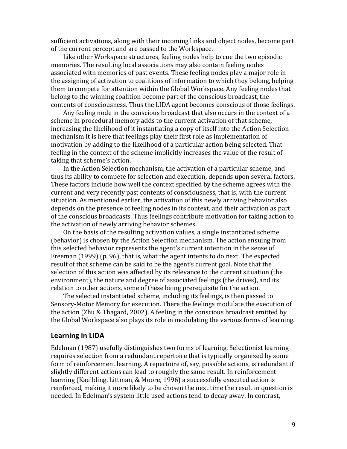sufficient activations, along with their incoming links and object nodes, become part of the current percept and are passed to the Workspace.

Like other Workspace structures, feeling nodes help to cue the two episodic memories. The resulting local associations may also contain feeling nodes associated with memories of past events. These feeling nodes play a major role in the assigning of activation to coalitions of information to which they belong, helping them to compete for attention within the Global Workspace. Any feeling nodes that belong to the winning coalition become part of the conscious broadcast, the contents of consciousness. Thus the LIDA agent becomes conscious of those feelings.

Any feeling node in the conscious broadcast that also occurs in the context of a scheme in procedural memory adds to the current activation of that scheme, increasing the likelihood of it instantiating a copy of itself into the Action Selection mechanism It is here that feelings play their first role as implementation of motivation by adding to the likelihood of a particular action being selected. That feeling in the context of the scheme implicitly increases the value of the result of taking that scheme's action.

In the Action Selection mechanism, the activation of a particular scheme, and thus its ability to compete for selection and execution, depends upon several factors. These factors include how well the context specified by the scheme agrees with the current and very recently past contents of consciousness, that is, with the current situation. As mentioned earlier, the activation of this newly arriving behavior also depends on the presence of feeling nodes in its context, and their activation as part of the conscious broadcasts. Thus feelings contribute motivation for taking action to the activation of newly arriving behavior schemes.

On the basis of the resulting activation values, a single instantiated scheme (behavior) is chosen by the Action Selection mechanism. The action ensuing from this selected behavior represents the agent's current intention in the sense of Freeman  $(1999)$  (p. 96), that is, what the agent intents to do next. The expected result of that scheme can be said to be the agent's current goal. Note that the selection of this action was affected by its relevance to the current situation (the environment), the nature and degree of associated feelings (the drives), and its relation to other actions, some of these being prerequisite for the action.

The selected instantiated scheme, including its feelings, is then passed to Sensory-Motor Memory for execution. There the feelings modulate the execution of the action (Zhu  $&$  Thagard, 2002). A feeling in the conscious broadcast emitted by the Global Workspace also plays its role in modulating the various forms of learning.

#### **Learning in LIDA**

Edelman (1987) usefully distinguishes two forms of learning. Selectionist learning requires selection from a redundant repertoire that is typically organized by some form of reinforcement learning. A repertoire of, say, possible actions, is redundant if slightly different actions can lead to roughly the same result. In reinforcement learning (Kaelbling, Littman, & Moore, 1996) a successfully executed action is reinforced, making it more likely to be chosen the next time the result in question is needed. In Edelman's system little used actions tend to decay away. In contrast,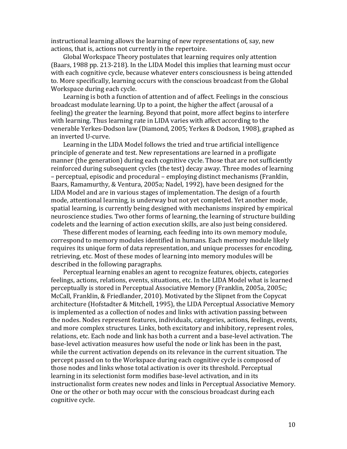instructional learning allows the learning of new representations of, say, new actions, that is, actions not currently in the repertoire.

Global Workspace Theory postulates that learning requires only attention (Baars, 1988 pp. 213-218). In the LIDA Model this implies that learning must occur with each cognitive cycle, because whatever enters consciousness is being attended to. More specifically, learning occurs with the conscious broadcast from the Global Workspace during each cycle.

Learning is both a function of attention and of affect. Feelings in the conscious broadcast modulate learning. Up to a point, the higher the affect (arousal of a feeling) the greater the learning. Beyond that point, more affect begins to interfere with learning. Thus learning rate in LIDA varies with affect according to the venerable Yerkes-Dodson law (Diamond, 2005; Yerkes & Dodson, 1908), graphed as an inverted U-curve.

Learning in the LIDA Model follows the tried and true artificial intelligence principle of generate and test. New representations are learned in a profligate manner (the generation) during each cognitive cycle. Those that are not sufficiently reinforced during subsequent cycles (the test) decay away. Three modes of learning – perceptual, episodic and procedural – employing distinct mechanisms (Franklin, Baars, Ramamurthy, & Ventura, 2005a; Nadel, 1992), have been designed for the LIDA Model and are in various stages of implementation. The design of a fourth mode, attentional learning, is underway but not yet completed. Yet another mode, spatial learning, is currently being designed with mechanisms inspired by empirical neuroscience studies. Two other forms of learning, the learning of structure building codelets and the learning of action execution skills, are also just being considered.

These different modes of learning, each feeding into its own memory module, correspond to memory modules identified in humans. Each memory module likely requires its unique form of data representation, and unique processes for encoding, retrieving, etc. Most of these modes of learning into memory modules will be described in the following paragraphs.

Perceptual learning enables an agent to recognize features, objects, categories feelings, actions, relations, events, situations, etc. In the LIDA Model what is learned perceptually is stored in Perceptual Associative Memory (Franklin, 2005a, 2005c; McCall, Franklin, & Friedlander, 2010). Motivated by the Slipnet from the Copycat architecture (Hofstadter & Mitchell, 1995), the LIDA Perceptual Associative Memory is implemented as a collection of nodes and links with activation passing between the nodes. Nodes represent features, individuals, categories, actions, feelings, events, and more complex structures. Links, both excitatory and inhibitory, represent roles, relations, etc. Each node and link has both a current and a base-level activation. The base-level activation measures how useful the node or link has been in the past, while the current activation depends on its relevance in the current situation. The percept passed on to the Workspace during each cognitive cycle is composed of those nodes and links whose total activation is over its threshold. Perceptual learning in its selectionist form modifies base-level activation, and in its instructionalist form creates new nodes and links in Perceptual Associative Memory. One or the other or both may occur with the conscious broadcast during each cognitive cycle.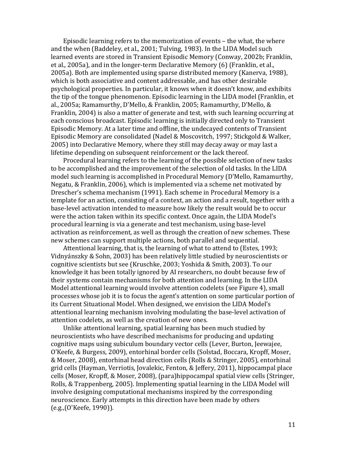Episodic learning refers to the memorization of events – the what, the where and the when (Baddeley, et al., 2001; Tulving, 1983). In the LIDA Model such learned events are stored in Transient Episodic Memory (Conway, 2002b; Franklin, et al., 2005a), and in the longer-term Declarative Memory (6) (Franklin, et al., 2005a). Both are implemented using sparse distributed memory (Kanerva, 1988). which is both associative and content addressable, and has other desirable psychological properties. In particular, it knows when it doesn't know, and exhibits the tip of the tongue phenomenon. Episodic learning in the LIDA model (Franklin, et al., 2005a; Ramamurthy, D'Mello, & Franklin, 2005; Ramamurthy, D'Mello, & Franklin, 2004) is also a matter of generate and test, with such learning occurring at each conscious broadcast. Episodic learning is initially directed only to Transient Episodic Memory. At a later time and offline, the undecayed contents of Transient Episodic Memory are consolidated (Nadel & Moscovitch, 1997; Stickgold & Walker, 2005) into Declarative Memory, where they still may decay away or may last a lifetime depending on subsequent reinforcement or the lack thereof.

Procedural learning refers to the learning of the possible selection of new tasks to be accomplished and the improvement of the selection of old tasks. In the LIDA model such learning is accomplished in Procedural Memory (D'Mello, Ramamurthy, Negatu, & Franklin, 2006), which is implemented via a scheme net motivated by Drescher's schema mechanism (1991). Each scheme in Procedural Memory is a template for an action, consisting of a context, an action and a result, together with a base-level activation intended to measure how likely the result would be to occur were the action taken within its specific context. Once again, the LIDA Model's procedural learning is via a generate and test mechanism, using base-level activation as reinforcement, as well as through the creation of new schemes. These new schemes can support multiple actions, both parallel and sequential.

Attentional learning, that is, the learning of what to attend to (Estes, 1993; Vidnyánszky & Sohn, 2003) has been relatively little studied by neuroscientists or cognitive scientists but see (Kruschke, 2003; Yoshida & Smith, 2003). To our knowledge it has been totally ignored by AI researchers, no doubt because few of their systems contain mechanisms for both attention and learning. In the LIDA Model attentional learning would involve attention codelets (see Figure 4), small processes whose job it is to focus the agent's attention on some particular portion of its Current Situational Model. When designed, we envision the LIDA Model's attentional learning mechanism involving modulating the base-level activation of attention codelets, as well as the creation of new ones.

Unlike attentional learning, spatial learning has been much studied by neuroscientists who have described mechanisms for producing and updating cognitive maps using subiculum boundary vector cells (Lever, Burton, Jeewajee, O'Keefe, & Burgess, 2009), entorhinal border cells (Solstad, Boccara, Kropff, Moser, & Moser, 2008), entorhinal head direction cells (Rolls & Stringer, 2005), entorhinal grid cells (Hayman, Verriotis, Jovalekic, Fenton, & Jeffery, 2011), hippocampal place cells (Moser, Kropff, & Moser, 2008), (para)hippocampal spatial view cells (Stringer, Rolls, & Trappenberg, 2005). Implementing spatial learning in the LIDA Model will involve designing computational mechanisms inspired by the corresponding neuroscience. Early attempts in this direction have been made by others  $(e.g., (O'Keefe, 1990))$ .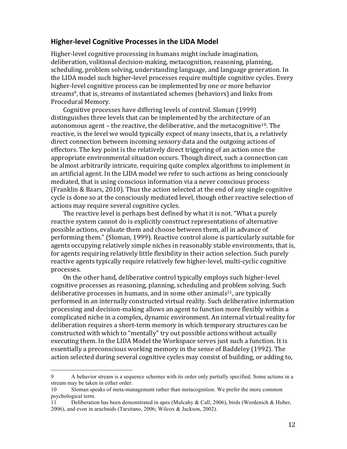#### **Higher-level Cognitive Processes in the LIDA Model**

Higher-level cognitive processing in humans might include imagination, deliberation, volitional decision-making, metacognition, reasoning, planning, scheduling, problem solving, understanding language, and language generation. In the LIDA model such higher-level processes require multiple cognitive cycles. Every higher-level cognitive process can be implemented by one or more behavior streams<sup>9</sup>, that is, streams of instantiated schemes (behaviors) and links from Procedural Memory.

Cognitive processes have differing levels of control. Sloman (1999) distinguishes three levels that can be implemented by the architecture of an autonomous agent – the reactive, the deliberative, and the metacognitive<sup>10</sup>. The reactive, is the level we would typically expect of many insects, that is, a relatively direct connection between incoming sensory data and the outgoing actions of effectors. The key point is the relatively direct triggering of an action once the appropriate environmental situation occurs. Though direct, such a connection can be almost arbitrarily intricate, requiring quite complex algorithms to implement in an artificial agent. In the LIDA model we refer to such actions as being consciously mediated, that is using conscious information via a never conscious process (Franklin & Baars, 2010). Thus the action selected at the end of any single cognitive cycle is done so at the consciously mediated level, though other reactive selection of actions may require several cognitive cycles.

The reactive level is perhaps best defined by what it is not. "What a purely reactive system cannot do is explicitly construct representations of alternative possible actions, evaluate them and choose between them, all in advance of performing them." (Sloman, 1999). Reactive control alone is particularly suitable for agents occupying relatively simple niches in reasonably stable environments, that is, for agents requiring relatively little flexibility in their action selection. Such purely reactive agents typically require relatively few higher-level, multi-cyclic cognitive processes.

On the other hand, deliberative control typically employs such higher-level cognitive processes as reasoning, planning, scheduling and problem solving. Such deliberative processes in humans, and in some other animals<sup>11</sup>, are typically performed in an internally constructed virtual reality. Such deliberative information processing and decision-making allows an agent to function more flexibly within a complicated niche in a complex, dynamic environment. An internal virtual reality for deliberation requires a short-term memory in which temporary structures can be constructed with which to "mentally" try out possible actions without actually executing them. In the LIDA Model the Workspace serves just such a function. It is essentially a preconscious working memory in the sense of Baddeley (1992). The action selected during several cognitive cycles may consist of building, or adding to,

 

<sup>9</sup> A behavior stream is a sequence schemes with its order only partially specified. Some actions in a stream may be taken in either order.

<sup>10</sup> Sloman speaks of meta-management rather than metacognition. We prefer the more common psychological term.

<sup>11</sup> Deliberation has been demonstrated in apes (Mulcahy & Call, 2006), birds (Werdenich & Huber, 2006), and even in arachnids (Tarsitano, 2006; Wilcox & Jackson, 2002).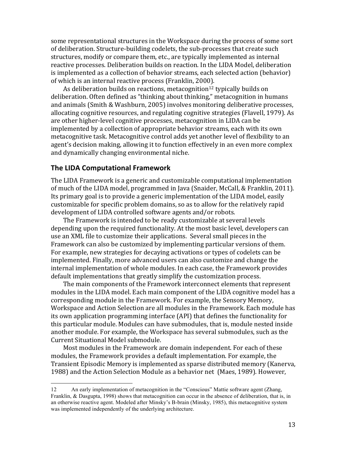some representational structures in the Workspace during the process of some sort of deliberation. Structure-building codelets, the sub-processes that create such structures, modify or compare them, etc., are typically implemented as internal reactive processes. Deliberation builds on reaction. In the LIDA Model, deliberation is implemented as a collection of behavior streams, each selected action (behavior) of which is an internal reactive process (Franklin, 2000).

As deliberation builds on reactions, metacognition<sup>12</sup> typically builds on deliberation. Often defined as "thinking about thinking," metacognition in humans and animals (Smith & Washburn, 2005) involves monitoring deliberative processes, allocating cognitive resources, and regulating cognitive strategies (Flavell, 1979). As are other higher-level cognitive processes, metacognition in LIDA can be implemented by a collection of appropriate behavior streams, each with its own metacognitive task. Metacognitive control adds yet another level of flexibility to an agent's decision making, allowing it to function effectively in an even more complex and dynamically changing environmental niche.

#### **The LIDA Computational Framework**

 

The LIDA Framework is a generic and customizable computational implementation of much of the LIDA model, programmed in Java (Snaider, McCall, & Franklin, 2011). Its primary goal is to provide a generic implementation of the LIDA model, easily customizable for specific problem domains, so as to allow for the relatively rapid development of LIDA controlled software agents and/or robots.

The Framework is intended to be ready customizable at several levels depending upon the required functionality. At the most basic level, developers can use an XML file to customize their applications. Several small pieces in the Framework can also be customized by implementing particular versions of them. For example, new strategies for decaying activations or types of codelets can be implemented. Finally, more advanced users can also customize and change the internal implementation of whole modules. In each case, the Framework provides default implementations that greatly simplify the customization process.

The main components of the Framework interconnect elements that represent modules in the LIDA model. Each main component of the LIDA cognitive model has a corresponding module in the Framework. For example, the Sensory Memory, Workspace and Action Selection are all modules in the Framework. Each module has its own application programming interface (API) that defines the functionality for this particular module. Modules can have submodules, that is, module nested inside another module. For example, the Workspace has several submodules, such as the Current Situational Model submodule.

Most modules in the Framework are domain independent. For each of these modules, the Framework provides a default implementation. For example, the Transient Episodic Memory is implemented as sparse distributed memory (Kanerva, 1988) and the Action Selection Module as a behavior net (Maes, 1989). However,

<sup>12</sup> An early implementation of metacognition in the "Conscious" Mattie software agent (Zhang, Franklin, & Dasgupta, 1998) shows that metacognition can occur in the absence of deliberation, that is, in an otherwise reactive agent. Modeled after Minsky's B-brain (Minsky, 1985), this metacognitive system was implemented independently of the underlying architecture.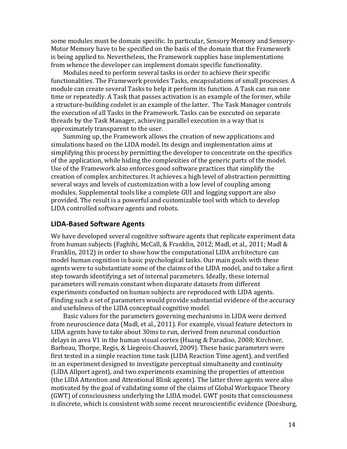some modules must be domain specific. In particular, Sensory Memory and Sensory-Motor Memory have to be specified on the basis of the domain that the Framework is being applied to. Nevertheless, the Framework supplies base implementations from whence the developer can implement domain specific functionality.

Modules need to perform several tasks in order to achieve their specific functionalities. The Framework provides Tasks, encapsulations of small processes. A module can create several Tasks to help it perform its function. A Task can run one time or repeatedly. A Task that passes activation is an example of the former, while a structure-building codelet is an example of the latter. The Task Manager controls the execution of all Tasks in the Framework. Tasks can be executed on separate threads by the Task Manager, achieving parallel execution in a way that is approximately transparent to the user.

Summing up, the Framework allows the creation of new applications and simulations based on the LIDA model. Its design and implementation aims at simplifying this process by permitting the developer to concentrate on the specifics of the application, while hiding the complexities of the generic parts of the model. Use of the Framework also enforces good software practices that simplify the creation of complex architectures. It achieves a high level of abstraction permitting several ways and levels of customization with a low level of coupling among modules. Supplemental tools like a complete GUI and logging support are also provided. The result is a powerful and customizable tool with which to develop LIDA controlled software agents and robots.

## **LIDA-Based Software Agents**

We have developed several cognitive software agents that replicate experiment data from human subjects (Faghihi, McCall, & Franklin, 2012; Madl, et al., 2011; Madl & Franklin, 2012) in order to show how the computational LIDA architecture can model human cognition in basic psychological tasks. Our main goals with these agents were to substantiate some of the claims of the LIDA model, and to take a first step towards identifying a set of internal parameters. Ideally, these internal parameters will remain constant when disparate datasets from different experiments conducted on human subjects are reproduced with LIDA agents. Finding such a set of parameters would provide substantial evidence of the accuracy and usefulness of the LIDA conceptual cognitive model.

Basic values for the parameters governing mechanisms in LIDA were derived from neuroscience data (Madl, et al., 2011). For example, visual feature detectors in LIDA agents have to take about 30ms to run, derived from neuronal conduction delays in area V1 in the human visual cortex (Huang & Paradiso, 2008; Kirchner, Barbeau, Thorpe, Regis, & Liegeois-Chauvel, 2009). These basic parameters were first tested in a simple reaction time task (LIDA Reaction Time agent), and verified in an experiment designed to investigate perceptual simultaneity and continuity (LIDA Allport agent), and two experiments examining the properties of attention (the LIDA Attention and Attentional Blink agents). The latter three agents were also motivated by the goal of validating some of the claims of Global Workspace Theory (GWT) of consciousness underlying the LIDA model. GWT posits that consciousness is discrete, which is consistent with some recent neuroscientific evidence (Doesburg,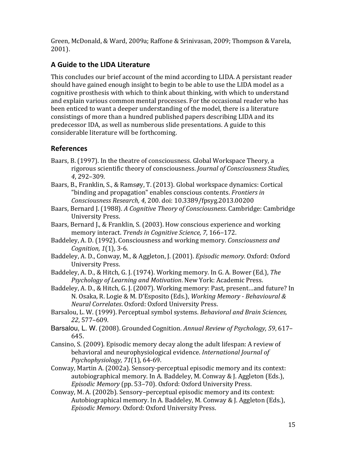Green, McDonald, & Ward, 2009a; Raffone & Srinivasan, 2009; Thompson & Varela, 2001).

## **A Guide to the LIDA Literature**

This concludes our brief account of the mind according to LIDA. A persistant reader should have gained enough insight to begin to be able to use the LIDA model as a cognitive prosthesis with which to think about thinking, with which to understand and explain various common mental processes. For the occasional reader who has been enticed to want a deeper understanding of the model, there is a literature consistings of more than a hundred published papers describing LIDA and its predecessor IDA, as well as numberous slide presentations. A guide to this considerable literature will be forthcoming.

# **References**

- Baars, B. (1997). In the theatre of consciousness. Global Workspace Theory, a rigorous scientific theory of consciousness. *Journal of Consciousness Studies*, *4*, 292–309.
- Baars, B., Franklin, S., & Ramsøy, T. (2013). Global workspace dynamics: Cortical "binding and propagation" enables conscious contents. *Frontiers in Consciousness Research, 4*, 200. doi: 10.3389/fpsyg.2013.00200
- Baars, Bernard J. (1988). A Cognitive Theory of Consciousness. Cambridge: Cambridge University Press.
- Baars, Bernard J., & Franklin, S. (2003). How conscious experience and working memory interact. *Trends in Cognitive Science*, 7, 166-172.
- Baddeley, A. D. (1992). Consciousness and working memory. *Consciousness and Cognition, 1*(1), 3-6.
- Baddeley, A. D., Conway, M., & Aggleton, J. (2001). *Episodic memory*. Oxford: Oxford University Press.
- Baddeley, A. D., & Hitch, G. J. (1974). Working memory. In G. A. Bower (Ed.), *The* Psychology of Learning and Motivation. New York: Academic Press.
- Baddeley, A. D., & Hitch, G. J. (2007). Working memory: Past, present...and future? In N. Osaka, R. Logie & M. D'Esposito (Eds.), *Working Memory - Behavioural & Neural Correlates*. Oxford: Oxford University Press.
- Barsalou, L. W. (1999). Perceptual symbol systems. *Behavioral and Brain Sciences*, *22*, 577–609.
- Barsalou, L. W. (2008). Grounded Cognition. Annual Review of Psychology, 59, 617– 645.
- Cansino, S. (2009). Episodic memory decay along the adult lifespan: A review of behavioral and neurophysiological evidence. International Journal of *Psychophysiology, 71*(1), 64-69.
- Conway, Martin A. (2002a). Sensory-perceptual episodic memory and its context: autobiographical memory. In A. Baddeley, M. Conway & J. Aggleton (Eds.), *Episodic Memory* (pp. 53–70). Oxford: Oxford University Press.
- Conway, M. A. (2002b). Sensory–perceptual episodic memory and its context: Autobiographical memory. In A. Baddeley, M. Conway & J. Aggleton (Eds.), *Episodic Memory*. Oxford: Oxford University Press.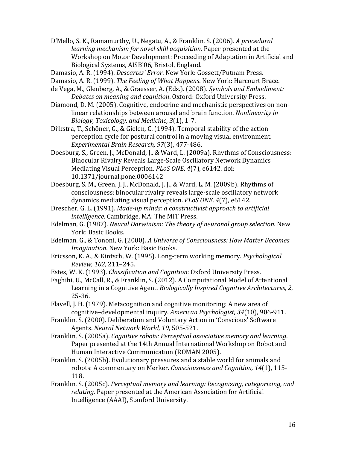D'Mello, S. K., Ramamurthy, U., Negatu, A., & Franklin, S. (2006). *A procedural learning mechanism for novel skill acquisition.* Paper presented at the Workshop on Motor Development: Proceeding of Adaptation in Artificial and Biological Systems, AISB'06, Bristol, England.

- Damasio, A. R. (1994). *Descartes' Error*. New York: Gossett/Putnam Press.
- Damasio, A. R. (1999). *The Feeling of What Happens*. New York: Harcourt Brace.
- de Vega, M., Glenberg, A., & Graesser, A. (Eds.). (2008). *Symbols and Embodiment:* **Debates on meaning and cognition.** Oxford: Oxford University Press.
- Diamond, D. M. (2005). Cognitive, endocrine and mechanistic perspectives on nonlinear relationships between arousal and brain function. *Nonlinearity in Biology, Toxicology, and Medicine, 3*(1), 1-7.

Dijkstra, T., Schöner, G., & Gielen, C. (1994). Temporal stability of the actionperception cycle for postural control in a moving visual environment. *Experimental Brain Research, 97*(3), 477-486. 

- Doesburg, S., Green, J., McDonald, J., & Ward, L. (2009a). Rhythms of Consciousness: Binocular Rivalry Reveals Large-Scale Oscillatory Network Dynamics Mediating Visual Perception. *PLoS ONE*, 4(7), e6142. doi: 10.1371/journal.pone.0006142
- Doesburg, S. M., Green, J. J., McDonald, J. J., & Ward, L. M. (2009b). Rhythms of consciousness: binocular rivalry reveals large-scale oscillatory network dynamics mediating visual perception. *PLoS ONE, 4*(7), e6142.
- Drescher, G. L. (1991). *Made-up minds: a constructivist approach to artificial intelligence*. Cambridge, MA: The MIT Press.
- Edelman, G. (1987). *Neural Darwinism: The theory of neuronal group selection*. New York: Basic Books.
- Edelman, G., & Tononi, G. (2000). A Universe of Consciousness: How Matter Becomes *Imagination*. New York: Basic Books.
- Ericsson, K. A., & Kintsch, W. (1995). Long-term working memory. *Psychological Review, 102*, 211–245.

Estes, W. K. (1993). *Classification and Cognition*: Oxford University Press.

- Faghihi, U., McCall, R., & Franklin, S. (2012). A Computational Model of Attentional Learning in a Cognitive Agent. *Biologically Inspired Cognitive Architectures, 2,* 25-36.
- Flavell, J. H. (1979). Metacognition and cognitive monitoring: A new area of cognitive–developmental inquiry. American Psychologist, 34(10), 906-911.
- Franklin, S. (2000). Deliberation and Voluntary Action in 'Conscious' Software Agents. *Neural Network World, 10*, 505-521.
- Franklin, S. (2005a). *Cognitive robots: Perceptual associative memory and learning.* Paper presented at the 14th Annual International Workshop on Robot and Human Interactive Communication (ROMAN 2005).
- Franklin, S. (2005b). Evolutionary pressures and a stable world for animals and robots: A commentary on Merker. *Consciousness and Cognition*, 14(1), 115-118.
- Franklin, S. (2005c). *Perceptual memory and learning: Recognizing, categorizing, and* relating. Paper presented at the American Association for Artificial Intelligence (AAAI), Stanford University.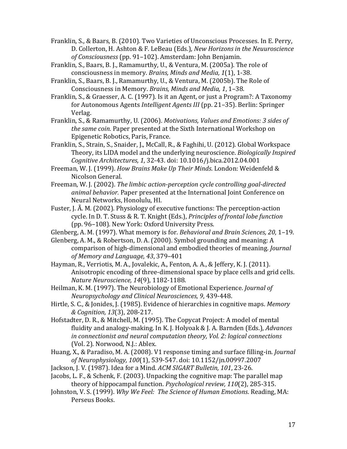Franklin, S., & Baars, B. (2010). Two Varieties of Unconscious Processes. In E. Perry, D. Collerton, H. Ashton & F. LeBeau (Eds.), *New Horizons in the Neuuroscience* of Consciousness (pp. 91–102). Amsterdam: John Benjamin.

Franklin, S., Baars, B. J., Ramamurthy, U., & Ventura, M. (2005a). The role of consciousness in memory. *Brains, Minds and Media, 1*(1), 1-38.

Franklin, S., Baars, B. J., Ramamurthy, U., & Ventura, M. (2005b). The Role of Consciousness in Memory. *Brains, Minds and Media, 1, 1-38.* 

Franklin, S., & Graesser, A. C. (1997). Is it an Agent, or just a Program?: A Taxonomy for Autonomous Agents *Intelligent Agents III* (pp. 21–35). Berlin: Springer Verlag.

Franklin, S., & Ramamurthy, U. (2006). *Motivations, Values and Emotions: 3 sides of the same coin.* Paper presented at the Sixth International Workshop on Epigenetic Robotics, Paris, France.

Franklin, S., Strain, S., Snaider, J., McCall, R., & Faghihi, U. (2012). Global Workspace Theory, its LIDA model and the underlying neuroscience. *Biologically Inspired Cognitive Architectures, 1*, 32-43. doi: 10.1016/j.bica.2012.04.001

Freeman, W. J. (1999). *How Brains Make Up Their Minds*. London: Weidenfeld & Nicolson General.

Freeman, W. J. (2002). *The limbic action-perception cycle controlling goal-directed animal behavior.* Paper presented at the International Joint Conference on Neural Networks, Honolulu, HI.

Fuster, J. A. M. (2002). Physiology of executive functions: The perception-action cycle. In D. T. Stuss & R. T. Knight (Eds.), *Principles of frontal lobe function* (pp. 96–108). New York: Oxford University Press.

Glenberg, A. M. (1997). What memory is for. *Behavioral and Brain Sciences, 20*, 1-19.

Glenberg, A. M., & Robertson, D. A. (2000). Symbol grounding and meaning: A comparison of high-dimensional and embodied theories of meaning. *Journal of Memory and Language, 43*, 379–401 

Hayman, R., Verriotis, M. A., Jovalekic, A., Fenton, A. A., & Jeffery, K. J. (2011). Anisotropic encoding of three-dimensional space by place cells and grid cells. *Nature Neuroscience, 14*(9), 1182-1188. 

Heilman, K. M. (1997). The Neurobiology of Emotional Experience. *Journal of Neuropsychology and Clinical Neurosciences, 9*, 439-448. 

Hirtle, S. C., & Jonides, J. (1985). Evidence of hierarchies in cognitive maps. Memory *& Cognition, 13*(3), 208-217. 

- Hofstadter, D. R., & Mitchell, M. (1995). The Copycat Project: A model of mental fluidity and analogy-making. In K. J. Holyoak & J. A. Barnden (Eds.), *Advances in connectionist and neural computation theory, Vol. 2: logical connections* (Vol. 2). Norwood, N.J.: Ablex.
- Huang, X., & Paradiso, M. A. (2008). V1 response timing and surface filling-in. *Journal of Neurophysiology, 100*(1), 539-547. doi: 10.1152/jn.00997.2007

Jackson, J. V. (1987). Idea for a Mind. ACM SIGART Bulletin, 101, 23-26.

Jacobs, L. F., & Schenk, F. (2003). Unpacking the cognitive map: The parallel map theory of hippocampal function. *Psychological review, 110*(2), 285-315.

Johnston, V. S. (1999). *Why We Feel: The Science of Human Emotions*. Reading, MA: Perseus Books.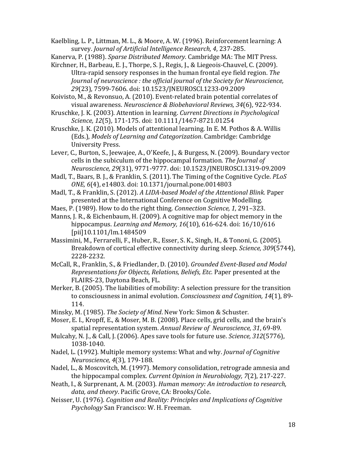Kaelbling, L. P., Littman, M. L., & Moore, A. W. (1996). Reinforcement learning: A survey. *Journal of Artificial Intelligence Research, 4, 237-285.* 

Kanerva, P. (1988). *Sparse Distributed Memory*. Cambridge MA: The MIT Press.

Kirchner, H., Barbeau, E. J., Thorpe, S. J., Regis, J., & Liegeois-Chauvel, C. (2009). Ultra-rapid sensory responses in the human frontal eye field region. The *Journal of neuroscience : the official journal of the Society for Neuroscience, 29*(23), 7599-7606. doi: 10.1523/JNEUROSCI.1233-09.2009

Koivisto, M., & Revonsuo, A. (2010). Event-related brain potential correlates of visual awareness. Neuroscience & Biobehavioral Reviews, 34(6), 922-934.

Kruschke, J. K. (2003). Attention in learning. *Current Directions in Psychological* Science, 12(5), 171-175. doi: 10.1111/1467-8721.01254

Kruschke, I. K. (2010). Models of attentional learning. In E. M. Pothos & A. Willis (Eds.), *Models of Learning and Categorization*. Cambridge: Cambridge University Press.

Lever, C., Burton, S., Jeewajee, A., O'Keefe, J., & Burgess, N. (2009). Boundary vector cells in the subiculum of the hippocampal formation. The *Journal of Neuroscience, 29*(31), 9771-9777. doi: 10.1523/JNEUROSCI.1319-09.2009

Madl, T., Baars, B. J., & Franklin, S. (2011). The Timing of the Cognitive Cycle. *PLoS ONE, 6*(4), e14803. doi: 10.1371/journal.pone.0014803

- Madl, T., & Franklin, S. (2012). *A LIDA-based Model of the Attentional Blink.* Paper presented at the International Conference on Cognitive Modelling.
- Maes, P. (1989). How to do the right thing. *Connection Science*, 1, 291–323.

Manns, J. R., & Eichenbaum, H. (2009). A cognitive map for object memory in the hippocampus. *Learning and Memory, 16*(10), 616-624. doi: 16/10/616 [pii]10.1101/lm.1484509

Massimini, M., Ferrarelli, F., Huber, R., Esser, S. K., Singh, H., & Tononi, G. (2005). Breakdown of cortical effective connectivity during sleep. *Science*, 309(5744), 2228-2232. 

McCall, R., Franklin, S., & Friedlander, D. (2010). *Grounded Event-Based and Modal Representations for Objects, Relations, Beliefs, Etc. Paper presented at the* FLAIRS-23, Daytona Beach, FL.

Merker, B. (2005). The liabilities of mobility: A selection pressure for the transition to consciousness in animal evolution. *Consciousness and Cognition*, 14(1), 89-114. 

Minsky, M. (1985). *The Society of Mind*. New York: Simon & Schuster.

Moser, E. I., Kropff, E., & Moser, M. B. (2008). Place cells, grid cells, and the brain's spatial representation system. Annual Review of Neuroscience, 31, 69-89.

- Mulcahy, N. J., & Call, J. (2006). Apes save tools for future use. *Science*, 312(5776), 1038-1040.
- Nadel, L. (1992). Multiple memory systems: What and why. *Journal of Cognitive Neuroscience, 4*(3), 179-188.
- Nadel, L., & Moscovitch, M. (1997). Memory consolidation, retrograde amnesia and the hippocampal complex. *Current Opinion in Neurobiology*, 7(2), 217-227.
- Neath, I., & Surprenant, A. M. (2003). *Human memory: An introduction to research,* data, and theory. Pacific Grove, CA: Brooks/Cole.
- Neisser, U. (1976). *Cognition and Reality: Principles and Implications of Cognitive Psychology* San Francisco: W. H. Freeman.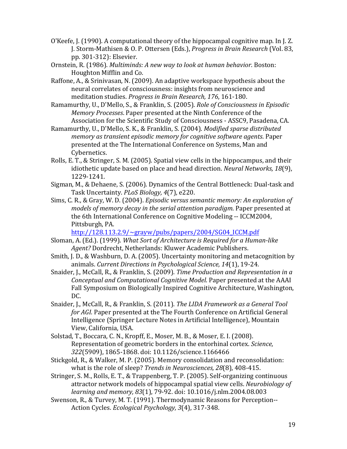- O'Keefe, J. (1990). A computational theory of the hippocampal cognitive map. In J. Z. J. Storm-Mathisen & O. P. Ottersen (Eds.), *Progress in Brain Research* (Vol. 83, pp. 301-312): Elsevier.
- Ornstein, R. (1986). *Multiminds: A new way to look at human behavior*. Boston: Houghton Mifflin and Co.
- Raffone, A., & Srinivasan, N. (2009). An adaptive workspace hypothesis about the neural correlates of consciousness: insights from neuroscience and meditation studies. *Progress in Brain Research, 176, 161-180.*
- Ramamurthy, U., D'Mello, S., & Franklin, S. (2005). *Role of Consciousness in Episodic Memory Processes*. Paper presented at the Ninth Conference of the Association for the Scientific Study of Consciousness - ASSC9, Pasadena, CA.
- Ramamurthy, U., D'Mello, S. K., & Franklin, S. (2004). *Modified sparse distributed memory as transient episodic memory for cognitive software agents.* Paper presented at the The International Conference on Systems, Man and Cybernetics.
- Rolls, E. T., & Stringer, S. M. (2005). Spatial view cells in the hippocampus, and their idiothetic update based on place and head direction. *Neural Networks*, 18(9), 1229-1241.
- Sigman, M., & Dehaene, S. (2006). Dynamics of the Central Bottleneck: Dual-task and Task Uncertainty. *PLoS Biology*, 4(7), e220.
- Sims, C. R., & Gray, W. D. (2004). *Episodic versus semantic memory: An exploration of models of memory decay in the serial attention paradigm*. Paper presented at the 6th International Conference on Cognitive Modeling -- ICCM2004, Pittsburgh, PA.

http://128.113.2.9/~grayw/pubs/papers/2004/SG04\_ICCM.pdf

- Sloman, A. (Ed.). (1999). What Sort of Architecture is Required for a Human-like *Agent?* Dordrecht, Netherlands: Kluwer Academic Publishers.
- Smith, J. D., & Washburn, D. A. (2005). Uncertainty monitoring and metacognition by animals. Current Directions in Psychological Science, 14(1), 19-24.
- Snaider, J., McCall, R., & Franklin, S. (2009). *Time Production and Representation in a Conceptual and Computational Cognitive Model*. Paper presented at the AAAI Fall Symposium on Biologically Inspired Cognitive Architecture, Washington, DC.
- Snaider, I., McCall, R., & Franklin, S. (2011). *The LIDA Framework as a General Tool for AGI.* Paper presented at the The Fourth Conference on Artificial General Intelligence (Springer Lecture Notes in Artificial Intelligence), Mountain View, California, USA.
- Solstad, T., Boccara, C. N., Kropff, E., Moser, M. B., & Moser, E. I. (2008). Representation of geometric borders in the entorhinal cortex. *Science*, 322(5909), 1865-1868. doi: 10.1126/science.1166466
- Stickgold, R., & Walker, M. P. (2005). Memory consolidation and reconsolidation: what is the role of sleep? *Trends in Neurosciences, 28*(8), 408-415.
- Stringer, S. M., Rolls, E. T., & Trappenberg, T. P. (2005). Self-organizing continuous attractor network models of hippocampal spatial view cells. *Neurobiology of learning and memory, 83*(1), 79-92. doi: 10.1016/j.nlm.2004.08.003
- Swenson, R., & Turvey, M. T. (1991). Thermodynamic Reasons for Perception--Action Cycles. *Ecological Psychology, 3*(4), 317-348.